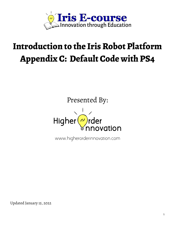

# **Introduction to the Iris Robot Platform Appendix C: Default Code with PS4**

Presented By:



www.higherorderinnovation.com

Updated January 15, 2022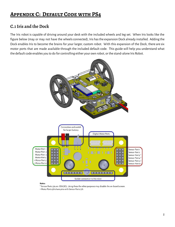# **Appendix C: Default Code with PS4**

# **C.1Iris and the Dock**

The Iris robot is capable of driving around your desk with the included wheels and leg set. When Iris looks like the figure below (may or may not have the wheels connected), Iris has the expansion Dock already installed. Adding the Dock enables Iris to become the brains for your larger, custom robot. With this expansion of the Dock, there are six motor ports that are made available through the included default code. This guide will help you understand what the default code enables you to do for controlling either your own robot, or the stand-alone Iris Robot.



#### Notes:

\* Sensor Ports 3/4 are SDA/SCL. Using these for other purposes may disable the on-board screen. ^ Motor Ports 5/6 share pins with Sensor Ports 5/6.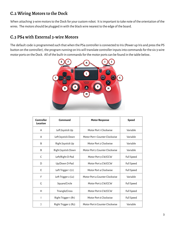# **C.2 Wiring Motors to the Dock**

When attaching 3-wire motors to the Dock for your custom robot. It is important to take note of the orientation of the wires. The motors should be plugged in with the black wire nearest to the edge of the board.

### **C.3 PS4 with External 3-wire Motors**

The default code is programmed such that when the PS4 controller is connected to Iris (Power up Iris and press the PS button on the controller), the program running on Iris will translate controller inputs into commands for the six 3-wire motor ports on the Dock. All of the built-in commands for the motor ports can be found in the table below..



| <b>Controller</b><br>Location | Command              | <b>Motor Response</b>          | <b>Speed</b>      |
|-------------------------------|----------------------|--------------------------------|-------------------|
| A                             | Left Joystick Up     | Motor Port 1 Clockwise         | Variable          |
| A                             | Left Joystick Down   | Motor Port 1 Counter Clockwise | Variable          |
| B                             | Right Joystick Up    | Motor Port 2 Clockwise         | Variable          |
| B                             | Right Joystick Down  | Motor Port 2 Counter Clockwise | Variable          |
| C                             | Left/Right D-Pad     | Motor Port 3 CW/CCW            | Full Speed        |
| D                             | Up/Down D-Pad        | Motor Port 4 CW/CCW            | Full Speed        |
| E                             | Left Trigger 1 (L1)  | Motor Port 4 Clockwise         | Full Speed        |
| F                             | Left Trigger 2 (L2)  | Motor Port 4 Counter Clockwise | Variable          |
| G                             | Square/Circle        | Motor Port 5 CW/CCW            | Full Speed        |
| H                             | Triangle/Cross       | Motor Port 6 CW/CCW            | Full Speed        |
|                               | Right Trigger 1 (R1) | Motor Port 6 Clockwise         | <b>Full Speed</b> |
|                               | Right Trigger 2 (R2) | Motor Port 6 Counter Clockwise | Variable          |